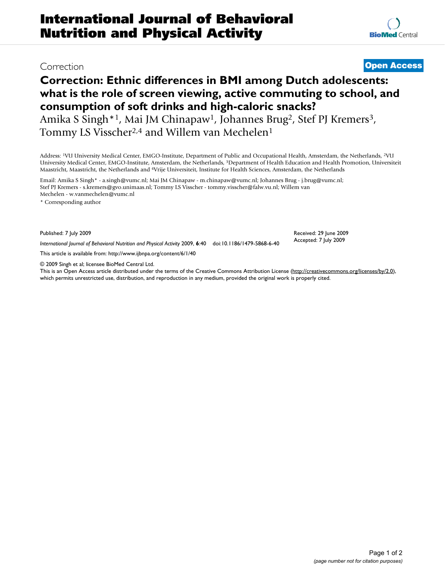# **Correction: Ethnic differences in BMI among Dutch adolescents: what is the role of screen viewing, active commuting to school, and consumption of soft drinks and high-caloric snacks?**

Amika S Singh<sup>\*1</sup>, Mai JM Chinapaw<sup>1</sup>, Johannes Brug<sup>2</sup>, Stef PJ Kremers<sup>3</sup>, Tommy LS Visscher<sup>2,4</sup> and Willem van Mechelen<sup>1</sup>

Address: 1VU University Medical Center, EMGO-Institute, Department of Public and Occupational Health, Amsterdam, the Netherlands, 2VU University Medical Center, EMGO-Institute, Amsterdam, the Netherlands, 3Department of Health Education and Health Promotion, Universiteit Maastricht, Maastricht, the Netherlands and 4Vrije Universiteit, Institute for Health Sciences, Amsterdam, the Netherlands

Email: Amika S Singh\* - a.singh@vumc.nl; Mai JM Chinapaw - m.chinapaw@vumc.nl; Johannes Brug - j.brug@vumc.nl; Stef PJ Kremers - s.kremers@gvo.unimaas.nl; Tommy LS Visscher - tommy.visscher@falw.vu.nl; Willem van Mechelen - w.vanmechelen@vumc.nl

\* Corresponding author

Published: 7 July 2009

*International Journal of Behavioral Nutrition and Physical Activity* 2009, **6**:40 doi:10.1186/1479-5868-6-40

[This article is available from: http://www.ijbnpa.org/content/6/1/40](http://www.ijbnpa.org/content/6/1/40)

© 2009 Singh et al; licensee BioMed Central Ltd.

This is an Open Access article distributed under the terms of the Creative Commons Attribution License [\(http://creativecommons.org/licenses/by/2.0\)](http://creativecommons.org/licenses/by/2.0), which permits unrestricted use, distribution, and reproduction in any medium, provided the original work is properly cited.

Received: 29 June 2009 Accepted: 7 July 2009

Correction **[Open Access](http://www.biomedcentral.com/info/about/charter/)**

Page 1 of 2 *(page number not for citation purposes)*